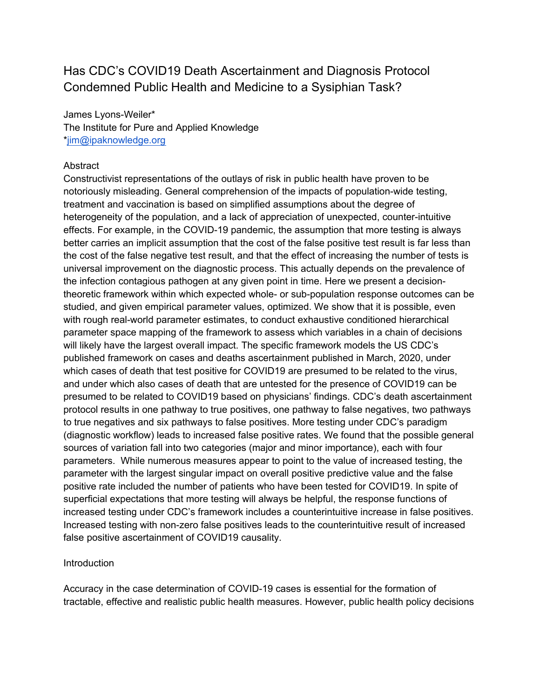# Has CDC's COVID19 Death Ascertainment and Diagnosis Protocol Condemned Public Health and Medicine to a Sysiphian Task?

James Lyons-Weiler\* The Institute for Pure and Applied Knowledge \*jim@ipaknowledge.org

#### Abstract

Constructivist representations of the outlays of risk in public health have proven to be notoriously misleading. General comprehension of the impacts of population-wide testing, treatment and vaccination is based on simplified assumptions about the degree of heterogeneity of the population, and a lack of appreciation of unexpected, counter-intuitive effects. For example, in the COVID-19 pandemic, the assumption that more testing is always better carries an implicit assumption that the cost of the false positive test result is far less than the cost of the false negative test result, and that the effect of increasing the number of tests is universal improvement on the diagnostic process. This actually depends on the prevalence of the infection contagious pathogen at any given point in time. Here we present a decisiontheoretic framework within which expected whole- or sub-population response outcomes can be studied, and given empirical parameter values, optimized. We show that it is possible, even with rough real-world parameter estimates, to conduct exhaustive conditioned hierarchical parameter space mapping of the framework to assess which variables in a chain of decisions will likely have the largest overall impact. The specific framework models the US CDC's published framework on cases and deaths ascertainment published in March, 2020, under which cases of death that test positive for COVID19 are presumed to be related to the virus, and under which also cases of death that are untested for the presence of COVID19 can be presumed to be related to COVID19 based on physicians' findings. CDC's death ascertainment protocol results in one pathway to true positives, one pathway to false negatives, two pathways to true negatives and six pathways to false positives. More testing under CDC's paradigm (diagnostic workflow) leads to increased false positive rates. We found that the possible general sources of variation fall into two categories (major and minor importance), each with four parameters. While numerous measures appear to point to the value of increased testing, the parameter with the largest singular impact on overall positive predictive value and the false positive rate included the number of patients who have been tested for COVID19. In spite of superficial expectations that more testing will always be helpful, the response functions of increased testing under CDC's framework includes a counterintuitive increase in false positives. Increased testing with non-zero false positives leads to the counterintuitive result of increased false positive ascertainment of COVID19 causality.

#### Introduction

Accuracy in the case determination of COVID-19 cases is essential for the formation of tractable, effective and realistic public health measures. However, public health policy decisions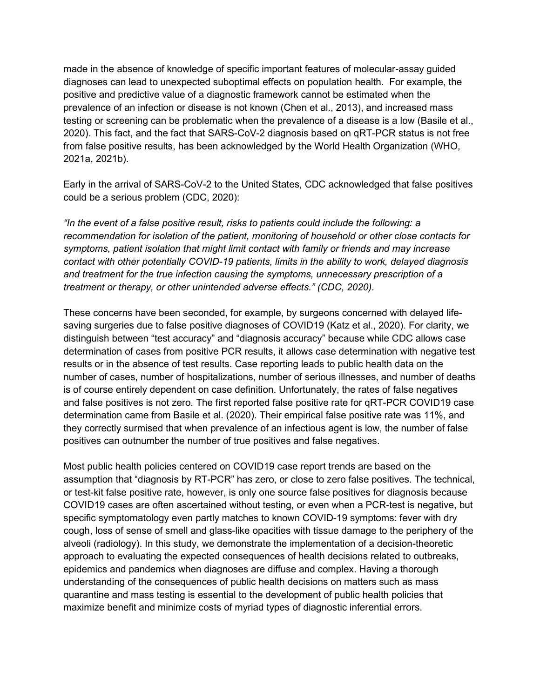made in the absence of knowledge of specific important features of molecular-assay guided diagnoses can lead to unexpected suboptimal effects on population health. For example, the positive and predictive value of a diagnostic framework cannot be estimated when the prevalence of an infection or disease is not known (Chen et al., 2013), and increased mass testing or screening can be problematic when the prevalence of a disease is a low (Basile et al., 2020). This fact, and the fact that SARS-CoV-2 diagnosis based on qRT-PCR status is not free from false positive results, has been acknowledged by the World Health Organization (WHO, 2021a, 2021b).

Early in the arrival of SARS-CoV-2 to the United States, CDC acknowledged that false positives could be a serious problem (CDC, 2020):

"In the event of a false positive result, risks to patients could include the following: a recommendation for isolation of the patient, monitoring of household or other close contacts for symptoms, patient isolation that might limit contact with family or friends and may increase contact with other potentially COVID-19 patients, limits in the ability to work, delayed diagnosis and treatment for the true infection causing the symptoms, unnecessary prescription of a treatment or therapy, or other unintended adverse effects." (CDC, 2020).

These concerns have been seconded, for example, by surgeons concerned with delayed lifesaving surgeries due to false positive diagnoses of COVID19 (Katz et al., 2020). For clarity, we distinguish between "test accuracy" and "diagnosis accuracy" because while CDC allows case determination of cases from positive PCR results, it allows case determination with negative test results or in the absence of test results. Case reporting leads to public health data on the number of cases, number of hospitalizations, number of serious illnesses, and number of deaths is of course entirely dependent on case definition. Unfortunately, the rates of false negatives and false positives is not zero. The first reported false positive rate for qRT-PCR COVID19 case determination came from Basile et al. (2020). Their empirical false positive rate was 11%, and they correctly surmised that when prevalence of an infectious agent is low, the number of false positives can outnumber the number of true positives and false negatives.

Most public health policies centered on COVID19 case report trends are based on the assumption that "diagnosis by RT-PCR" has zero, or close to zero false positives. The technical, or test-kit false positive rate, however, is only one source false positives for diagnosis because COVID19 cases are often ascertained without testing, or even when a PCR-test is negative, but specific symptomatology even partly matches to known COVID-19 symptoms: fever with dry cough, loss of sense of smell and glass-like opacities with tissue damage to the periphery of the alveoli (radiology). In this study, we demonstrate the implementation of a decision-theoretic approach to evaluating the expected consequences of health decisions related to outbreaks, epidemics and pandemics when diagnoses are diffuse and complex. Having a thorough understanding of the consequences of public health decisions on matters such as mass quarantine and mass testing is essential to the development of public health policies that maximize benefit and minimize costs of myriad types of diagnostic inferential errors.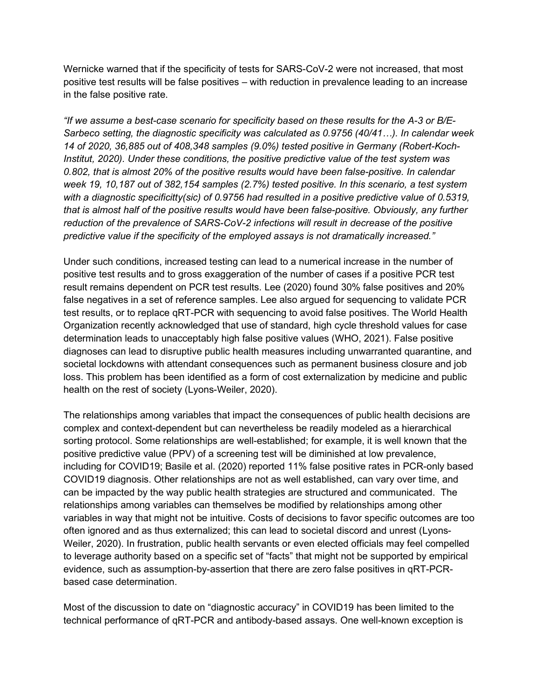Wernicke warned that if the specificity of tests for SARS-CoV-2 were not increased, that most positive test results will be false positives – with reduction in prevalence leading to an increase in the false positive rate.

"If we assume a best-case scenario for specificity based on these results for the A-3 or B/E-Sarbeco setting, the diagnostic specificity was calculated as 0.9756 (40/41…). In calendar week 14 of 2020, 36,885 out of 408,348 samples (9.0%) tested positive in Germany (Robert-Koch-Institut, 2020). Under these conditions, the positive predictive value of the test system was 0.802, that is almost 20% of the positive results would have been false-positive. In calendar week 19, 10,187 out of 382,154 samples (2.7%) tested positive. In this scenario, a test system with a diagnostic specificitty(sic) of 0.9756 had resulted in a positive predictive value of 0.5319, that is almost half of the positive results would have been false-positive. Obviously, any further reduction of the prevalence of SARS-CoV-2 infections will result in decrease of the positive predictive value if the specificity of the employed assays is not dramatically increased."

Under such conditions, increased testing can lead to a numerical increase in the number of positive test results and to gross exaggeration of the number of cases if a positive PCR test result remains dependent on PCR test results. Lee (2020) found 30% false positives and 20% false negatives in a set of reference samples. Lee also argued for sequencing to validate PCR test results, or to replace qRT-PCR with sequencing to avoid false positives. The World Health Organization recently acknowledged that use of standard, high cycle threshold values for case determination leads to unacceptably high false positive values (WHO, 2021). False positive diagnoses can lead to disruptive public health measures including unwarranted quarantine, and societal lockdowns with attendant consequences such as permanent business closure and job loss. This problem has been identified as a form of cost externalization by medicine and public health on the rest of society (Lyons-Weiler, 2020).

The relationships among variables that impact the consequences of public health decisions are complex and context-dependent but can nevertheless be readily modeled as a hierarchical sorting protocol. Some relationships are well-established; for example, it is well known that the positive predictive value (PPV) of a screening test will be diminished at low prevalence, including for COVID19; Basile et al. (2020) reported 11% false positive rates in PCR-only based COVID19 diagnosis. Other relationships are not as well established, can vary over time, and can be impacted by the way public health strategies are structured and communicated. The relationships among variables can themselves be modified by relationships among other variables in way that might not be intuitive. Costs of decisions to favor specific outcomes are too often ignored and as thus externalized; this can lead to societal discord and unrest (Lyons-Weiler, 2020). In frustration, public health servants or even elected officials may feel compelled to leverage authority based on a specific set of "facts" that might not be supported by empirical evidence, such as assumption-by-assertion that there are zero false positives in qRT-PCRbased case determination.

Most of the discussion to date on "diagnostic accuracy" in COVID19 has been limited to the technical performance of qRT-PCR and antibody-based assays. One well-known exception is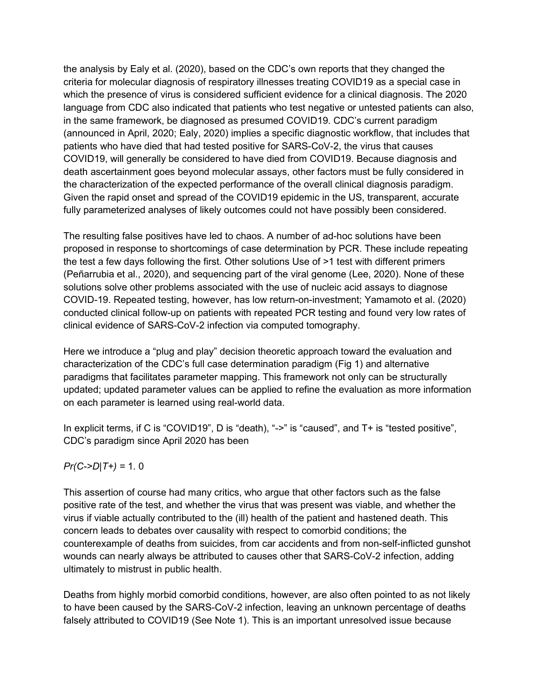the analysis by Ealy et al. (2020), based on the CDC's own reports that they changed the criteria for molecular diagnosis of respiratory illnesses treating COVID19 as a special case in which the presence of virus is considered sufficient evidence for a clinical diagnosis. The 2020 language from CDC also indicated that patients who test negative or untested patients can also, in the same framework, be diagnosed as presumed COVID19. CDC's current paradigm (announced in April, 2020; Ealy, 2020) implies a specific diagnostic workflow, that includes that patients who have died that had tested positive for SARS-CoV-2, the virus that causes COVID19, will generally be considered to have died from COVID19. Because diagnosis and death ascertainment goes beyond molecular assays, other factors must be fully considered in the characterization of the expected performance of the overall clinical diagnosis paradigm. Given the rapid onset and spread of the COVID19 epidemic in the US, transparent, accurate fully parameterized analyses of likely outcomes could not have possibly been considered.

The resulting false positives have led to chaos. A number of ad-hoc solutions have been proposed in response to shortcomings of case determination by PCR. These include repeating the test a few days following the first. Other solutions Use of >1 test with different primers (Peñarrubia et al., 2020), and sequencing part of the viral genome (Lee, 2020). None of these solutions solve other problems associated with the use of nucleic acid assays to diagnose COVID-19. Repeated testing, however, has low return-on-investment; Yamamoto et al. (2020) conducted clinical follow-up on patients with repeated PCR testing and found very low rates of clinical evidence of SARS-CoV-2 infection via computed tomography.

Here we introduce a "plug and play" decision theoretic approach toward the evaluation and characterization of the CDC's full case determination paradigm (Fig 1) and alternative paradigms that facilitates parameter mapping. This framework not only can be structurally updated; updated parameter values can be applied to refine the evaluation as more information on each parameter is learned using real-world data.

In explicit terms, if C is "COVID19", D is "death), "->" is "caused", and T+ is "tested positive", CDC's paradigm since April 2020 has been

 $Pr(C\text{-}D|T+) = 1.0$ 

This assertion of course had many critics, who argue that other factors such as the false positive rate of the test, and whether the virus that was present was viable, and whether the virus if viable actually contributed to the (ill) health of the patient and hastened death. This concern leads to debates over causality with respect to comorbid conditions; the counterexample of deaths from suicides, from car accidents and from non-self-inflicted gunshot wounds can nearly always be attributed to causes other that SARS-CoV-2 infection, adding ultimately to mistrust in public health.

Deaths from highly morbid comorbid conditions, however, are also often pointed to as not likely to have been caused by the SARS-CoV-2 infection, leaving an unknown percentage of deaths falsely attributed to COVID19 (See Note 1). This is an important unresolved issue because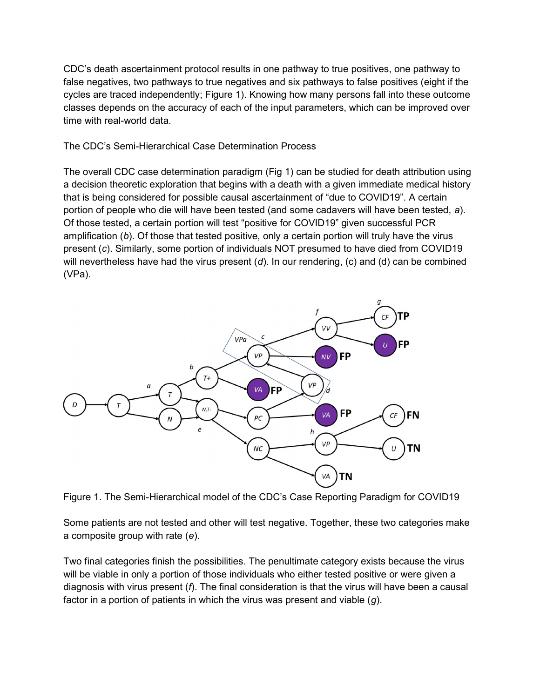CDC's death ascertainment protocol results in one pathway to true positives, one pathway to false negatives, two pathways to true negatives and six pathways to false positives (eight if the cycles are traced independently; Figure 1). Knowing how many persons fall into these outcome classes depends on the accuracy of each of the input parameters, which can be improved over time with real-world data.

#### The CDC's Semi-Hierarchical Case Determination Process

The overall CDC case determination paradigm (Fig 1) can be studied for death attribution using a decision theoretic exploration that begins with a death with a given immediate medical history that is being considered for possible causal ascertainment of "due to COVID19". A certain portion of people who die will have been tested (and some cadavers will have been tested, a). Of those tested, a certain portion will test "positive for COVID19" given successful PCR amplification (b). Of those that tested positive, only a certain portion will truly have the virus present (c). Similarly, some portion of individuals NOT presumed to have died from COVID19 will nevertheless have had the virus present  $(d)$ . In our rendering,  $(c)$  and  $(d)$  can be combined (VPa).



Figure 1. The Semi-Hierarchical model of the CDC's Case Reporting Paradigm for COVID19

Some patients are not tested and other will test negative. Together, these two categories make a composite group with rate (e).

Two final categories finish the possibilities. The penultimate category exists because the virus will be viable in only a portion of those individuals who either tested positive or were given a diagnosis with virus present  $(f)$ . The final consideration is that the virus will have been a causal factor in a portion of patients in which the virus was present and viable  $(g)$ .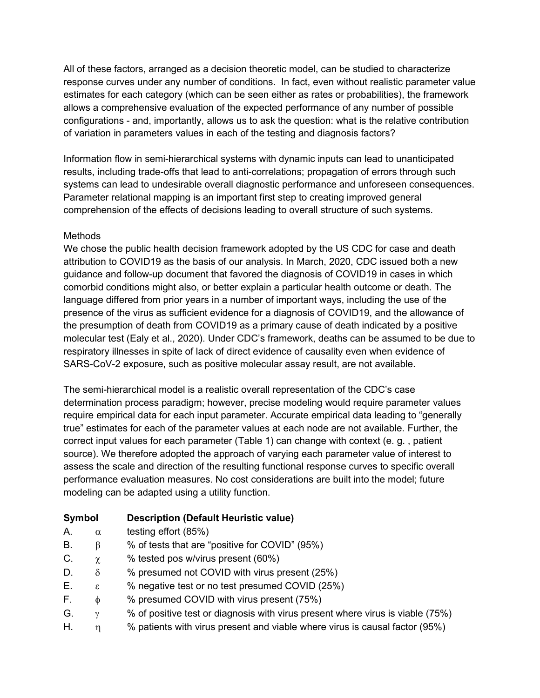All of these factors, arranged as a decision theoretic model, can be studied to characterize response curves under any number of conditions. In fact, even without realistic parameter value estimates for each category (which can be seen either as rates or probabilities), the framework allows a comprehensive evaluation of the expected performance of any number of possible configurations - and, importantly, allows us to ask the question: what is the relative contribution of variation in parameters values in each of the testing and diagnosis factors?

Information flow in semi-hierarchical systems with dynamic inputs can lead to unanticipated results, including trade-offs that lead to anti-correlations; propagation of errors through such systems can lead to undesirable overall diagnostic performance and unforeseen consequences. Parameter relational mapping is an important first step to creating improved general comprehension of the effects of decisions leading to overall structure of such systems.

## **Methods**

We chose the public health decision framework adopted by the US CDC for case and death attribution to COVID19 as the basis of our analysis. In March, 2020, CDC issued both a new guidance and follow-up document that favored the diagnosis of COVID19 in cases in which comorbid conditions might also, or better explain a particular health outcome or death. The language differed from prior years in a number of important ways, including the use of the presence of the virus as sufficient evidence for a diagnosis of COVID19, and the allowance of the presumption of death from COVID19 as a primary cause of death indicated by a positive molecular test (Ealy et al., 2020). Under CDC's framework, deaths can be assumed to be due to respiratory illnesses in spite of lack of direct evidence of causality even when evidence of SARS-CoV-2 exposure, such as positive molecular assay result, are not available.

The semi-hierarchical model is a realistic overall representation of the CDC's case determination process paradigm; however, precise modeling would require parameter values require empirical data for each input parameter. Accurate empirical data leading to "generally true" estimates for each of the parameter values at each node are not available. Further, the correct input values for each parameter (Table 1) can change with context (e. g. , patient source). We therefore adopted the approach of varying each parameter value of interest to assess the scale and direction of the resulting functional response curves to specific overall performance evaluation measures. No cost considerations are built into the model; future modeling can be adapted using a utility function.

- Symbol Description (Default Heuristic value)
- A.  $\alpha$  testing effort (85%)
- B.  $\beta$  % of tests that are "positive for COVID" (95%)
- C.  $\chi$  % tested pos w/virus present (60%)
- D.  $\delta$  % presumed not COVID with virus present (25%)
- E.  $\varepsilon$  % negative test or no test presumed COVID (25%)
- F.  $\phi$  % presumed COVID with virus present (75%)
- G.  $\gamma$  % of positive test or diagnosis with virus present where virus is viable (75%)
- H.  $\eta$  % patients with virus present and viable where virus is causal factor (95%)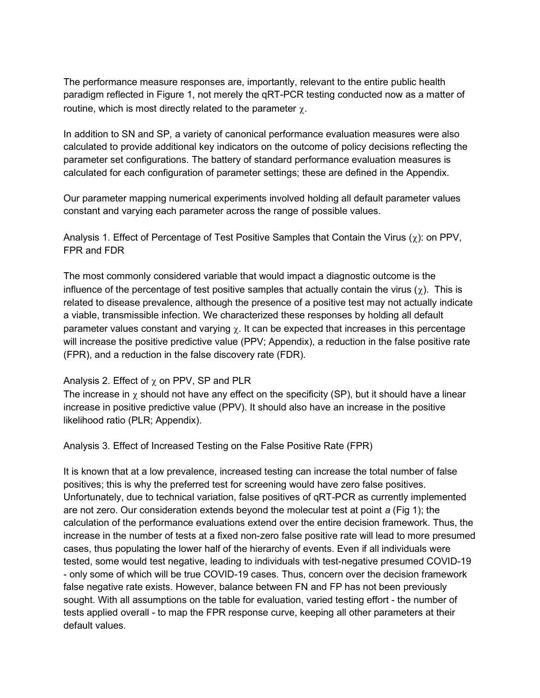The performance measure responses are, importantly, relevant to the entire public health paradigm reflected in Figure 1, not merely the qRT-PCR testing conducted now as a matter of routine, which is most directly related to the parameter  $\gamma$ .

In addition to SN and SP, a variety of canonical performance evaluation measures were also calculated to provide additional key indicators on the outcome of policy decisions reflecting the parameter set configurations. The battery of standard performance evaluation measures is calculated for each configuration of parameter settings; these are defined in the Appendix.

Our parameter mapping numerical experiments involved holding all default parameter values constant and varying each parameter across the range of possible values.

Analysis 1. Effect of Percentage of Test Positive Samples that Contain the Virus  $(\chi)$ : on PPV, FPR and FDR

The most commonly considered variable that would impact a diagnostic outcome is the influence of the percentage of test positive samples that actually contain the virus  $(\chi)$ . This is related to disease prevalence, although the presence of a positive test may not actually indicate a viable, transmissible infection. We characterized these responses by holding all default parameter values constant and varying  $\chi$ . It can be expected that increases in this percentage will increase the positive predictive value (PPV; Appendix), a reduction in the false positive rate (FPR), and a reduction in the false discovery rate (FDR).

#### Analysis 2. Effect of  $\chi$  on PPV, SP and PLR

The increase in  $\gamma$  should not have any effect on the specificity (SP), but it should have a linear increase in positive predictive value (PPV). It should also have an increase in the positive likelihood ratio (PLR; Appendix).

Analysis 3. Effect of Increased Testing on the False Positive Rate (FPR)

It is known that at a low prevalence, increased testing can increase the total number of false positives; this is why the preferred test for screening would have zero false positives. Unfortunately, due to technical variation, false positives of qRT-PCR as currently implemented are not zero. Our consideration extends beyond the molecular test at point a (Fig 1); the calculation of the performance evaluations extend over the entire decision framework. Thus, the increase in the number of tests at a fixed non-zero false positive rate will lead to more presumed cases, thus populating the lower half of the hierarchy of events. Even if all individuals were tested, some would test negative, leading to individuals with test-negative presumed COVID-19 - only some of which will be true COVID-19 cases. Thus, concern over the decision framework false negative rate exists. However, balance between FN and FP has not been previously sought. With all assumptions on the table for evaluation, varied testing effort - the number of tests applied overall - to map the FPR response curve, keeping all other parameters at their default values.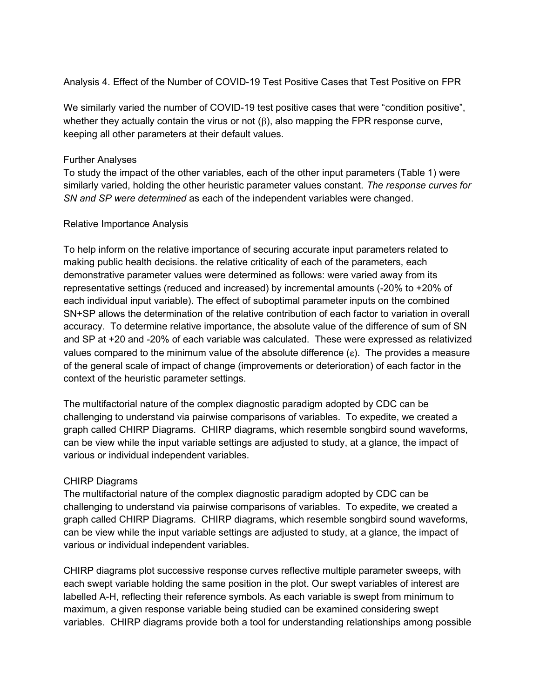Analysis 4. Effect of the Number of COVID-19 Test Positive Cases that Test Positive on FPR

We similarly varied the number of COVID-19 test positive cases that were "condition positive", whether they actually contain the virus or not  $(\beta)$ , also mapping the FPR response curve, keeping all other parameters at their default values.

## Further Analyses

To study the impact of the other variables, each of the other input parameters (Table 1) were similarly varied, holding the other heuristic parameter values constant. The response curves for SN and SP were determined as each of the independent variables were changed.

#### Relative Importance Analysis

To help inform on the relative importance of securing accurate input parameters related to making public health decisions. the relative criticality of each of the parameters, each demonstrative parameter values were determined as follows: were varied away from its representative settings (reduced and increased) by incremental amounts (-20% to +20% of each individual input variable). The effect of suboptimal parameter inputs on the combined SN+SP allows the determination of the relative contribution of each factor to variation in overall accuracy. To determine relative importance, the absolute value of the difference of sum of SN and SP at +20 and -20% of each variable was calculated. These were expressed as relativized values compared to the minimum value of the absolute difference  $(\epsilon)$ . The provides a measure of the general scale of impact of change (improvements or deterioration) of each factor in the context of the heuristic parameter settings.

The multifactorial nature of the complex diagnostic paradigm adopted by CDC can be challenging to understand via pairwise comparisons of variables. To expedite, we created a graph called CHIRP Diagrams. CHIRP diagrams, which resemble songbird sound waveforms, can be view while the input variable settings are adjusted to study, at a glance, the impact of various or individual independent variables.

## CHIRP Diagrams

The multifactorial nature of the complex diagnostic paradigm adopted by CDC can be challenging to understand via pairwise comparisons of variables. To expedite, we created a graph called CHIRP Diagrams. CHIRP diagrams, which resemble songbird sound waveforms, can be view while the input variable settings are adjusted to study, at a glance, the impact of various or individual independent variables.

CHIRP diagrams plot successive response curves reflective multiple parameter sweeps, with each swept variable holding the same position in the plot. Our swept variables of interest are labelled A-H, reflecting their reference symbols. As each variable is swept from minimum to maximum, a given response variable being studied can be examined considering swept variables. CHIRP diagrams provide both a tool for understanding relationships among possible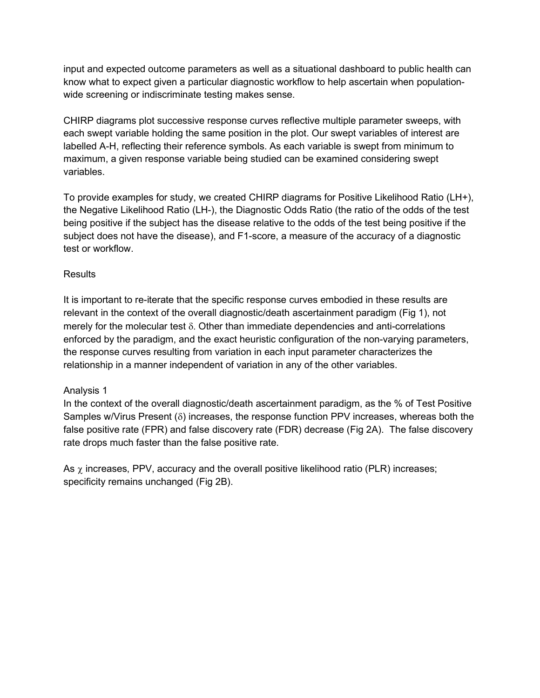input and expected outcome parameters as well as a situational dashboard to public health can know what to expect given a particular diagnostic workflow to help ascertain when populationwide screening or indiscriminate testing makes sense.

CHIRP diagrams plot successive response curves reflective multiple parameter sweeps, with each swept variable holding the same position in the plot. Our swept variables of interest are labelled A-H, reflecting their reference symbols. As each variable is swept from minimum to maximum, a given response variable being studied can be examined considering swept variables.

To provide examples for study, we created CHIRP diagrams for Positive Likelihood Ratio (LH+), the Negative Likelihood Ratio (LH-), the Diagnostic Odds Ratio (the ratio of the odds of the test being positive if the subject has the disease relative to the odds of the test being positive if the subject does not have the disease), and F1-score, a measure of the accuracy of a diagnostic test or workflow.

## **Results**

It is important to re-iterate that the specific response curves embodied in these results are relevant in the context of the overall diagnostic/death ascertainment paradigm (Fig 1), not merely for the molecular test  $\delta$ . Other than immediate dependencies and anti-correlations enforced by the paradigm, and the exact heuristic configuration of the non-varying parameters, the response curves resulting from variation in each input parameter characterizes the relationship in a manner independent of variation in any of the other variables.

## Analysis 1

In the context of the overall diagnostic/death ascertainment paradigm, as the % of Test Positive Samples w/Virus Present  $(\delta)$  increases, the response function PPV increases, whereas both the false positive rate (FPR) and false discovery rate (FDR) decrease (Fig 2A). The false discovery rate drops much faster than the false positive rate.

As  $\chi$  increases, PPV, accuracy and the overall positive likelihood ratio (PLR) increases; specificity remains unchanged (Fig 2B).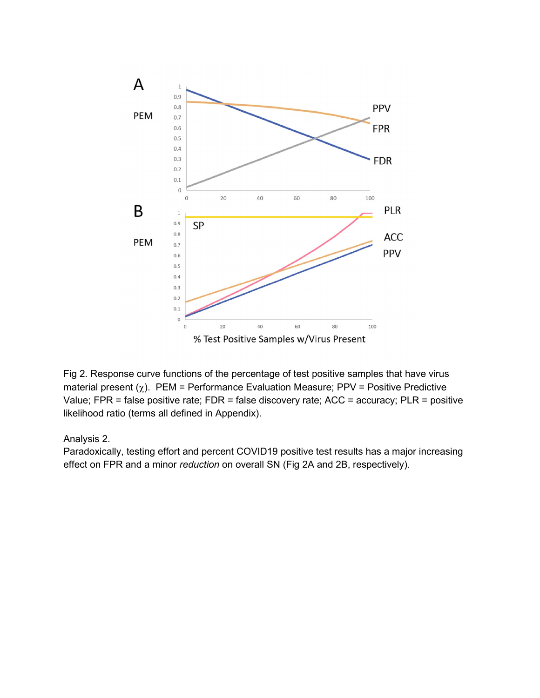

Fig 2. Response curve functions of the percentage of test positive samples that have virus material present  $(\chi)$ . PEM = Performance Evaluation Measure; PPV = Positive Predictive Value; FPR = false positive rate; FDR = false discovery rate; ACC = accuracy; PLR = positive likelihood ratio (terms all defined in Appendix).

## Analysis 2.

Paradoxically, testing effort and percent COVID19 positive test results has a major increasing effect on FPR and a minor reduction on overall SN (Fig 2A and 2B, respectively).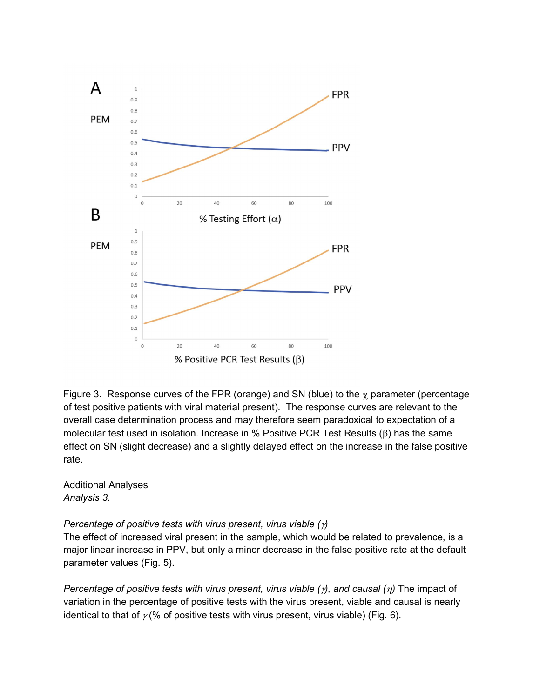

Figure 3. Response curves of the FPR (orange) and SN (blue) to the  $\gamma$  parameter (percentage of test positive patients with viral material present). The response curves are relevant to the overall case determination process and may therefore seem paradoxical to expectation of a molecular test used in isolation. Increase in % Positive PCR Test Results  $(\beta)$  has the same effect on SN (slight decrease) and a slightly delayed effect on the increase in the false positive rate.

Additional Analyses Analysis 3.

Percentage of positive tests with virus present, virus viable  $(y)$ 

The effect of increased viral present in the sample, which would be related to prevalence, is a major linear increase in PPV, but only a minor decrease in the false positive rate at the default parameter values (Fig. 5).

Percentage of positive tests with virus present, virus viable  $(\gamma)$ , and causal  $(\eta)$  The impact of variation in the percentage of positive tests with the virus present, viable and causal is nearly identical to that of  $\gamma$  (% of positive tests with virus present, virus viable) (Fig. 6).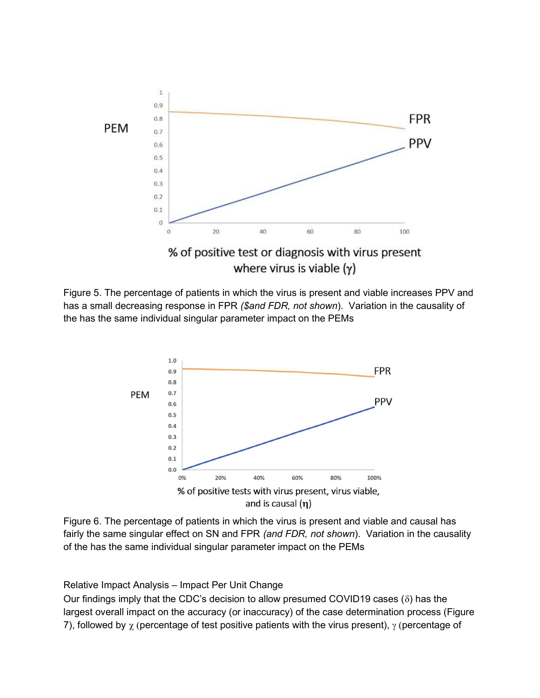

Figure 5. The percentage of patients in which the virus is present and viable increases PPV and has a small decreasing response in FPR (\$and FDR, not shown). Variation in the causality of the has the same individual singular parameter impact on the PEMs



Figure 6. The percentage of patients in which the virus is present and viable and causal has fairly the same singular effect on SN and FPR (and FDR, not shown). Variation in the causality of the has the same individual singular parameter impact on the PEMs

Relative Impact Analysis – Impact Per Unit Change

Our findings imply that the CDC's decision to allow presumed COVID19 cases ( $\delta$ ) has the largest overall impact on the accuracy (or inaccuracy) of the case determination process (Figure 7), followed by  $\chi$  (percentage of test positive patients with the virus present),  $\gamma$  (percentage of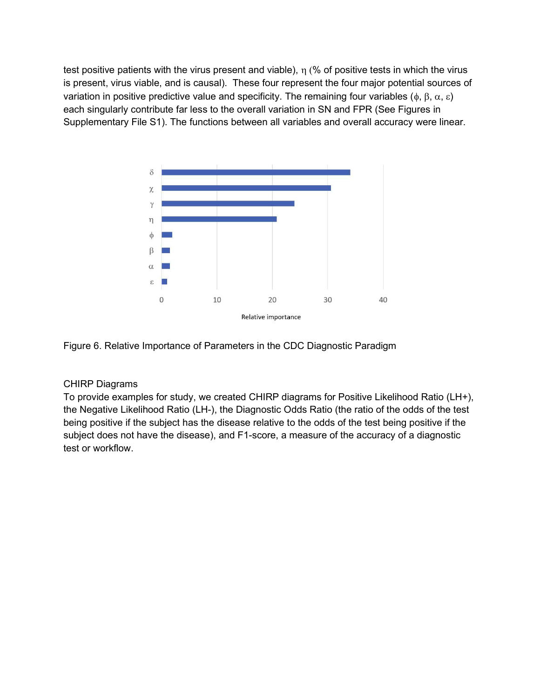test positive patients with the virus present and viable),  $\eta$  (% of positive tests in which the virus is present, virus viable, and is causal). These four represent the four major potential sources of variation in positive predictive value and specificity. The remaining four variables ( $\phi$ ,  $\beta$ ,  $\alpha$ ,  $\epsilon$ ) each singularly contribute far less to the overall variation in SN and FPR (See Figures in Supplementary File S1). The functions between all variables and overall accuracy were linear.



Figure 6. Relative Importance of Parameters in the CDC Diagnostic Paradigm

# CHIRP Diagrams

To provide examples for study, we created CHIRP diagrams for Positive Likelihood Ratio (LH+), the Negative Likelihood Ratio (LH-), the Diagnostic Odds Ratio (the ratio of the odds of the test being positive if the subject has the disease relative to the odds of the test being positive if the subject does not have the disease), and F1-score, a measure of the accuracy of a diagnostic test or workflow.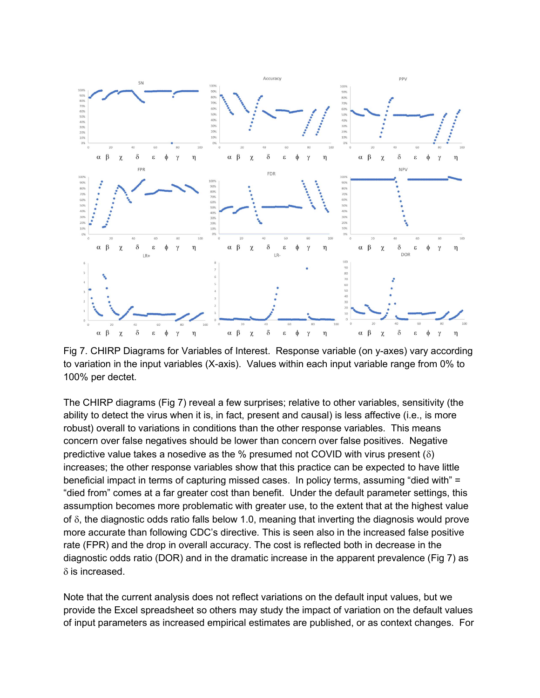

Fig 7. CHIRP Diagrams for Variables of Interest. Response variable (on y-axes) vary according to variation in the input variables (X-axis). Values within each input variable range from 0% to 100% per dectet.

The CHIRP diagrams (Fig 7) reveal a few surprises; relative to other variables, sensitivity (the ability to detect the virus when it is, in fact, present and causal) is less affective (i.e., is more robust) overall to variations in conditions than the other response variables. This means concern over false negatives should be lower than concern over false positives. Negative predictive value takes a nosedive as the % presumed not COVID with virus present  $(\delta)$ increases; the other response variables show that this practice can be expected to have little beneficial impact in terms of capturing missed cases. In policy terms, assuming "died with" = "died from" comes at a far greater cost than benefit. Under the default parameter settings, this assumption becomes more problematic with greater use, to the extent that at the highest value of  $\delta$ , the diagnostic odds ratio falls below 1.0, meaning that inverting the diagnosis would prove more accurate than following CDC's directive. This is seen also in the increased false positive rate (FPR) and the drop in overall accuracy. The cost is reflected both in decrease in the diagnostic odds ratio (DOR) and in the dramatic increase in the apparent prevalence (Fig 7) as  $\delta$  is increased.

Note that the current analysis does not reflect variations on the default input values, but we provide the Excel spreadsheet so others may study the impact of variation on the default values of input parameters as increased empirical estimates are published, or as context changes. For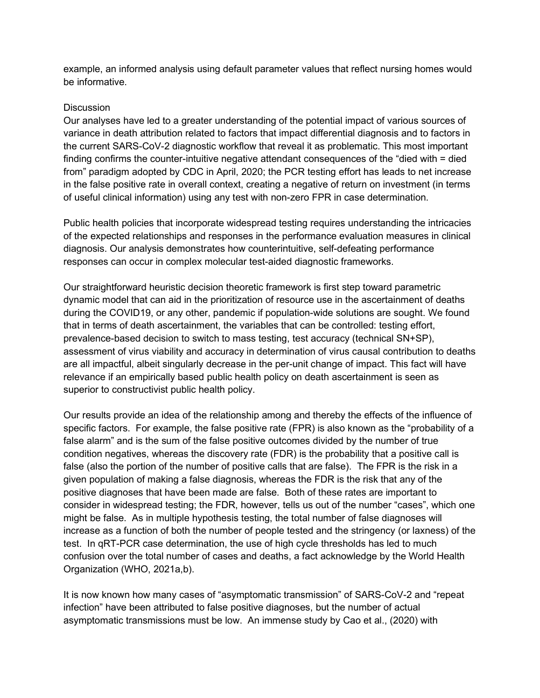example, an informed analysis using default parameter values that reflect nursing homes would be informative.

#### **Discussion**

Our analyses have led to a greater understanding of the potential impact of various sources of variance in death attribution related to factors that impact differential diagnosis and to factors in the current SARS-CoV-2 diagnostic workflow that reveal it as problematic. This most important finding confirms the counter-intuitive negative attendant consequences of the "died with = died from" paradigm adopted by CDC in April, 2020; the PCR testing effort has leads to net increase in the false positive rate in overall context, creating a negative of return on investment (in terms of useful clinical information) using any test with non-zero FPR in case determination.

Public health policies that incorporate widespread testing requires understanding the intricacies of the expected relationships and responses in the performance evaluation measures in clinical diagnosis. Our analysis demonstrates how counterintuitive, self-defeating performance responses can occur in complex molecular test-aided diagnostic frameworks.

Our straightforward heuristic decision theoretic framework is first step toward parametric dynamic model that can aid in the prioritization of resource use in the ascertainment of deaths during the COVID19, or any other, pandemic if population-wide solutions are sought. We found that in terms of death ascertainment, the variables that can be controlled: testing effort, prevalence-based decision to switch to mass testing, test accuracy (technical SN+SP), assessment of virus viability and accuracy in determination of virus causal contribution to deaths are all impactful, albeit singularly decrease in the per-unit change of impact. This fact will have relevance if an empirically based public health policy on death ascertainment is seen as superior to constructivist public health policy.

Our results provide an idea of the relationship among and thereby the effects of the influence of specific factors. For example, the false positive rate (FPR) is also known as the "probability of a false alarm" and is the sum of the false positive outcomes divided by the number of true condition negatives, whereas the discovery rate (FDR) is the probability that a positive call is false (also the portion of the number of positive calls that are false). The FPR is the risk in a given population of making a false diagnosis, whereas the FDR is the risk that any of the positive diagnoses that have been made are false. Both of these rates are important to consider in widespread testing; the FDR, however, tells us out of the number "cases", which one might be false. As in multiple hypothesis testing, the total number of false diagnoses will increase as a function of both the number of people tested and the stringency (or laxness) of the test. In qRT-PCR case determination, the use of high cycle thresholds has led to much confusion over the total number of cases and deaths, a fact acknowledge by the World Health Organization (WHO, 2021a,b).

It is now known how many cases of "asymptomatic transmission" of SARS-CoV-2 and "repeat infection" have been attributed to false positive diagnoses, but the number of actual asymptomatic transmissions must be low. An immense study by Cao et al., (2020) with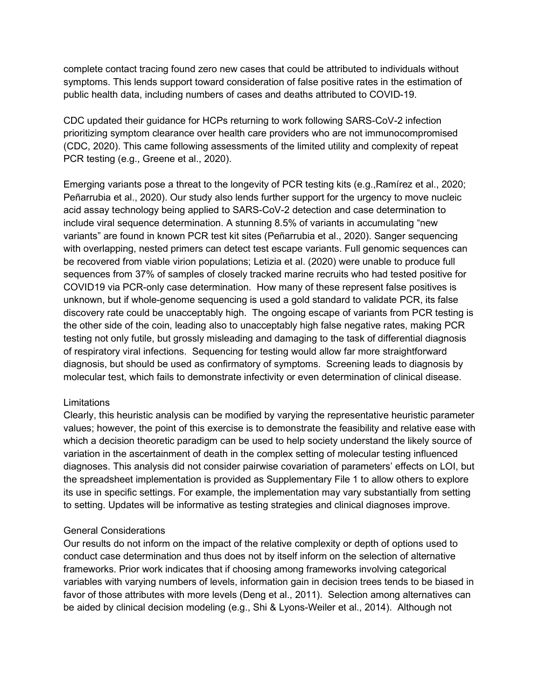complete contact tracing found zero new cases that could be attributed to individuals without symptoms. This lends support toward consideration of false positive rates in the estimation of public health data, including numbers of cases and deaths attributed to COVID-19.

CDC updated their guidance for HCPs returning to work following SARS-CoV-2 infection prioritizing symptom clearance over health care providers who are not immunocompromised (CDC, 2020). This came following assessments of the limited utility and complexity of repeat PCR testing (e.g., Greene et al., 2020).

Emerging variants pose a threat to the longevity of PCR testing kits (e.g.,Ramírez et al., 2020; Peñarrubia et al., 2020). Our study also lends further support for the urgency to move nucleic acid assay technology being applied to SARS-CoV-2 detection and case determination to include viral sequence determination. A stunning 8.5% of variants in accumulating "new variants" are found in known PCR test kit sites (Peñarrubia et al., 2020). Sanger sequencing with overlapping, nested primers can detect test escape variants. Full genomic sequences can be recovered from viable virion populations; Letizia et al. (2020) were unable to produce full sequences from 37% of samples of closely tracked marine recruits who had tested positive for COVID19 via PCR-only case determination. How many of these represent false positives is unknown, but if whole-genome sequencing is used a gold standard to validate PCR, its false discovery rate could be unacceptably high. The ongoing escape of variants from PCR testing is the other side of the coin, leading also to unacceptably high false negative rates, making PCR testing not only futile, but grossly misleading and damaging to the task of differential diagnosis of respiratory viral infections. Sequencing for testing would allow far more straightforward diagnosis, but should be used as confirmatory of symptoms. Screening leads to diagnosis by molecular test, which fails to demonstrate infectivity or even determination of clinical disease.

#### Limitations

Clearly, this heuristic analysis can be modified by varying the representative heuristic parameter values; however, the point of this exercise is to demonstrate the feasibility and relative ease with which a decision theoretic paradigm can be used to help society understand the likely source of variation in the ascertainment of death in the complex setting of molecular testing influenced diagnoses. This analysis did not consider pairwise covariation of parameters' effects on LOI, but the spreadsheet implementation is provided as Supplementary File 1 to allow others to explore its use in specific settings. For example, the implementation may vary substantially from setting to setting. Updates will be informative as testing strategies and clinical diagnoses improve.

#### General Considerations

Our results do not inform on the impact of the relative complexity or depth of options used to conduct case determination and thus does not by itself inform on the selection of alternative frameworks. Prior work indicates that if choosing among frameworks involving categorical variables with varying numbers of levels, information gain in decision trees tends to be biased in favor of those attributes with more levels (Deng et al., 2011). Selection among alternatives can be aided by clinical decision modeling (e.g., Shi & Lyons-Weiler et al., 2014). Although not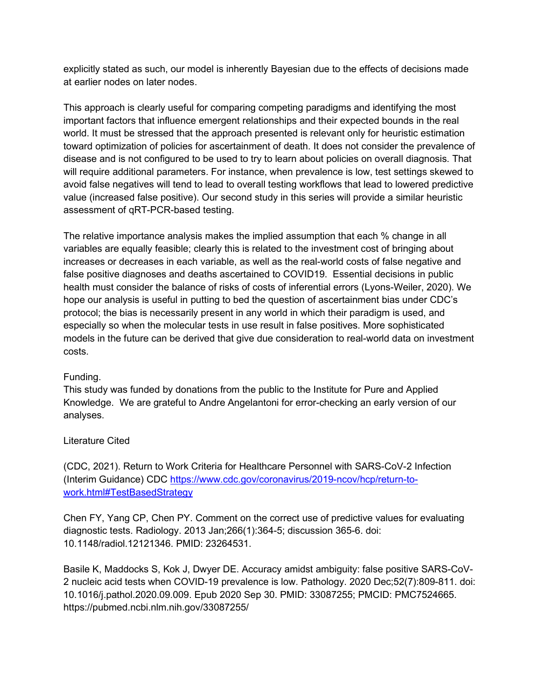explicitly stated as such, our model is inherently Bayesian due to the effects of decisions made at earlier nodes on later nodes.

This approach is clearly useful for comparing competing paradigms and identifying the most important factors that influence emergent relationships and their expected bounds in the real world. It must be stressed that the approach presented is relevant only for heuristic estimation toward optimization of policies for ascertainment of death. It does not consider the prevalence of disease and is not configured to be used to try to learn about policies on overall diagnosis. That will require additional parameters. For instance, when prevalence is low, test settings skewed to avoid false negatives will tend to lead to overall testing workflows that lead to lowered predictive value (increased false positive). Our second study in this series will provide a similar heuristic assessment of qRT-PCR-based testing.

The relative importance analysis makes the implied assumption that each % change in all variables are equally feasible; clearly this is related to the investment cost of bringing about increases or decreases in each variable, as well as the real-world costs of false negative and false positive diagnoses and deaths ascertained to COVID19. Essential decisions in public health must consider the balance of risks of costs of inferential errors (Lyons-Weiler, 2020). We hope our analysis is useful in putting to bed the question of ascertainment bias under CDC's protocol; the bias is necessarily present in any world in which their paradigm is used, and especially so when the molecular tests in use result in false positives. More sophisticated models in the future can be derived that give due consideration to real-world data on investment costs.

## Funding.

This study was funded by donations from the public to the Institute for Pure and Applied Knowledge. We are grateful to Andre Angelantoni for error-checking an early version of our analyses.

## Literature Cited

(CDC, 2021). Return to Work Criteria for Healthcare Personnel with SARS-CoV-2 Infection (Interim Guidance) CDC https://www.cdc.gov/coronavirus/2019-ncov/hcp/return-towork.html#TestBasedStrategy

Chen FY, Yang CP, Chen PY. Comment on the correct use of predictive values for evaluating diagnostic tests. Radiology. 2013 Jan;266(1):364-5; discussion 365-6. doi: 10.1148/radiol.12121346. PMID: 23264531.

Basile K, Maddocks S, Kok J, Dwyer DE. Accuracy amidst ambiguity: false positive SARS-CoV-2 nucleic acid tests when COVID-19 prevalence is low. Pathology. 2020 Dec;52(7):809-811. doi: 10.1016/j.pathol.2020.09.009. Epub 2020 Sep 30. PMID: 33087255; PMCID: PMC7524665. https://pubmed.ncbi.nlm.nih.gov/33087255/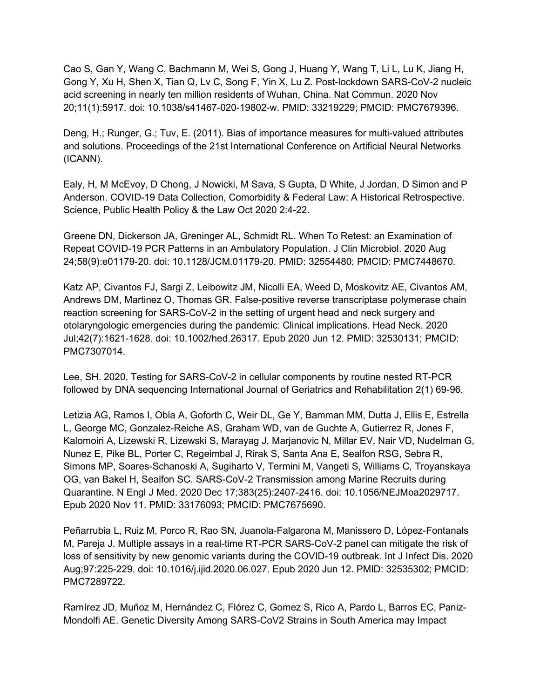Cao S, Gan Y, Wang C, Bachmann M, Wei S, Gong J, Huang Y, Wang T, Li L, Lu K, Jiang H, Gong Y, Xu H, Shen X, Tian Q, Lv C, Song F, Yin X, Lu Z. Post-lockdown SARS-CoV-2 nucleic acid screening in nearly ten million residents of Wuhan, China. Nat Commun. 2020 Nov 20;11(1):5917. doi: 10.1038/s41467-020-19802-w. PMID: 33219229; PMCID: PMC7679396.

Deng, H.; Runger, G.; Tuv, E. (2011). Bias of importance measures for multi-valued attributes and solutions. Proceedings of the 21st International Conference on Artificial Neural Networks (ICANN).

Ealy, H, M McEvoy, D Chong, J Nowicki, M Sava, S Gupta, D White, J Jordan, D Simon and P Anderson. COVID-19 Data Collection, Comorbidity & Federal Law: A Historical Retrospective. Science, Public Health Policy & the Law Oct 2020 2:4-22.

Greene DN, Dickerson JA, Greninger AL, Schmidt RL. When To Retest: an Examination of Repeat COVID-19 PCR Patterns in an Ambulatory Population. J Clin Microbiol. 2020 Aug 24;58(9):e01179-20. doi: 10.1128/JCM.01179-20. PMID: 32554480; PMCID: PMC7448670.

Katz AP, Civantos FJ, Sargi Z, Leibowitz JM, Nicolli EA, Weed D, Moskovitz AE, Civantos AM, Andrews DM, Martinez O, Thomas GR. False-positive reverse transcriptase polymerase chain reaction screening for SARS-CoV-2 in the setting of urgent head and neck surgery and otolaryngologic emergencies during the pandemic: Clinical implications. Head Neck. 2020 Jul;42(7):1621-1628. doi: 10.1002/hed.26317. Epub 2020 Jun 12. PMID: 32530131; PMCID: PMC7307014.

Lee, SH. 2020. Testing for SARS-CoV-2 in cellular components by routine nested RT-PCR followed by DNA sequencing International Journal of Geriatrics and Rehabilitation 2(1) 69-96.

Letizia AG, Ramos I, Obla A, Goforth C, Weir DL, Ge Y, Bamman MM, Dutta J, Ellis E, Estrella L, George MC, Gonzalez-Reiche AS, Graham WD, van de Guchte A, Gutierrez R, Jones F, Kalomoiri A, Lizewski R, Lizewski S, Marayag J, Marjanovic N, Millar EV, Nair VD, Nudelman G, Nunez E, Pike BL, Porter C, Regeimbal J, Rirak S, Santa Ana E, Sealfon RSG, Sebra R, Simons MP, Soares-Schanoski A, Sugiharto V, Termini M, Vangeti S, Williams C, Troyanskaya OG, van Bakel H, Sealfon SC. SARS-CoV-2 Transmission among Marine Recruits during Quarantine. N Engl J Med. 2020 Dec 17;383(25):2407-2416. doi: 10.1056/NEJMoa2029717. Epub 2020 Nov 11. PMID: 33176093; PMCID: PMC7675690.

Peñarrubia L, Ruiz M, Porco R, Rao SN, Juanola-Falgarona M, Manissero D, López-Fontanals M, Pareja J. Multiple assays in a real-time RT-PCR SARS-CoV-2 panel can mitigate the risk of loss of sensitivity by new genomic variants during the COVID-19 outbreak. Int J Infect Dis. 2020 Aug;97:225-229. doi: 10.1016/j.ijid.2020.06.027. Epub 2020 Jun 12. PMID: 32535302; PMCID: PMC7289722.

Ramírez JD, Muñoz M, Hernández C, Flórez C, Gomez S, Rico A, Pardo L, Barros EC, Paniz-Mondolfi AE. Genetic Diversity Among SARS-CoV2 Strains in South America may Impact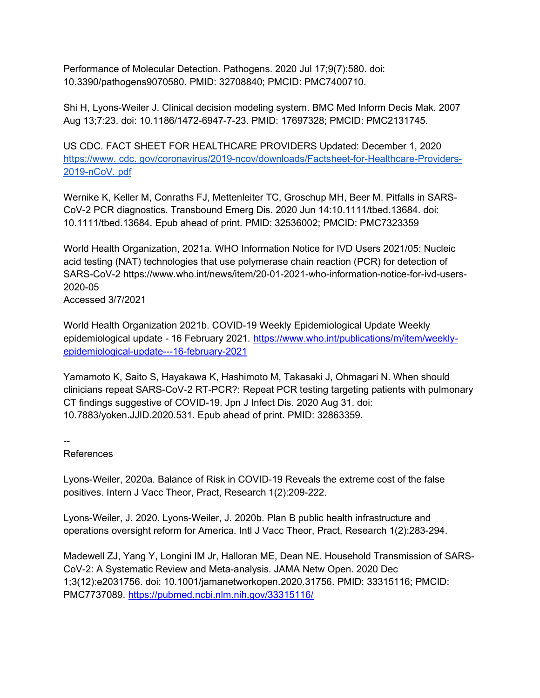Performance of Molecular Detection. Pathogens. 2020 Jul 17;9(7):580. doi: 10.3390/pathogens9070580. PMID: 32708840; PMCID: PMC7400710.

Shi H, Lyons-Weiler J. Clinical decision modeling system. BMC Med Inform Decis Mak. 2007 Aug 13;7:23. doi: 10.1186/1472-6947-7-23. PMID: 17697328; PMCID: PMC2131745.

US CDC. FACT SHEET FOR HEALTHCARE PROVIDERS Updated: December 1, 2020 https://www. cdc. gov/coronavirus/2019-ncov/downloads/Factsheet-for-Healthcare-Providers-2019-nCoV. pdf

Wernike K, Keller M, Conraths FJ, Mettenleiter TC, Groschup MH, Beer M. Pitfalls in SARS-CoV-2 PCR diagnostics. Transbound Emerg Dis. 2020 Jun 14:10.1111/tbed.13684. doi: 10.1111/tbed.13684. Epub ahead of print. PMID: 32536002; PMCID: PMC7323359

World Health Organization, 2021a. WHO Information Notice for IVD Users 2021/05: Nucleic acid testing (NAT) technologies that use polymerase chain reaction (PCR) for detection of SARS-CoV-2 https://www.who.int/news/item/20-01-2021-who-information-notice-for-ivd-users-2020-05

Accessed 3/7/2021

World Health Organization 2021b. COVID-19 Weekly Epidemiological Update Weekly epidemiological update - 16 February 2021. https://www.who.int/publications/m/item/weeklyepidemiological-update---16-february-2021

Yamamoto K, Saito S, Hayakawa K, Hashimoto M, Takasaki J, Ohmagari N. When should clinicians repeat SARS-CoV-2 RT-PCR?: Repeat PCR testing targeting patients with pulmonary CT findings suggestive of COVID-19. Jpn J Infect Dis. 2020 Aug 31. doi: 10.7883/yoken.JJID.2020.531. Epub ahead of print. PMID: 32863359.

--

References

Lyons-Weiler, 2020a. Balance of Risk in COVID-19 Reveals the extreme cost of the false positives. Intern J Vacc Theor, Pract, Research 1(2):209-222.

Lyons-Weiler, J. 2020. Lyons-Weiler, J. 2020b. Plan B public health infrastructure and operations oversight reform for America. Intl J Vacc Theor, Pract, Research 1(2):283-294.

Madewell ZJ, Yang Y, Longini IM Jr, Halloran ME, Dean NE. Household Transmission of SARS-CoV-2: A Systematic Review and Meta-analysis. JAMA Netw Open. 2020 Dec 1;3(12):e2031756. doi: 10.1001/jamanetworkopen.2020.31756. PMID: 33315116; PMCID: PMC7737089. https://pubmed.ncbi.nlm.nih.gov/33315116/